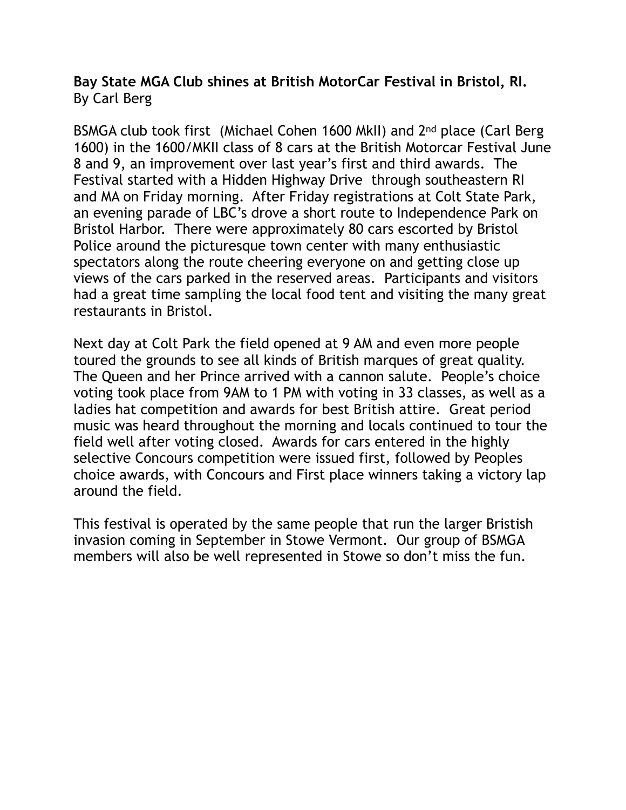## **Bay State MGA Club shines at British MotorCar Festival in Bristol, RI.**  By Carl Berg

BSMGA club took first (Michael Cohen 1600 MkII) and 2nd place (Carl Berg 1600) in the 1600/MKII class of 8 cars at the British Motorcar Festival June 8 and 9, an improvement over last year's first and third awards. The Festival started with a Hidden Highway Drive through southeastern RI and MA on Friday morning. After Friday registrations at Colt State Park, an evening parade of LBC's drove a short route to Independence Park on Bristol Harbor. There were approximately 80 cars escorted by Bristol Police around the picturesque town center with many enthusiastic spectators along the route cheering everyone on and getting close up views of the cars parked in the reserved areas. Participants and visitors had a great time sampling the local food tent and visiting the many great restaurants in Bristol.

Next day at Colt Park the field opened at 9 AM and even more people toured the grounds to see all kinds of British marques of great quality. The Queen and her Prince arrived with a cannon salute. People's choice voting took place from 9AM to 1 PM with voting in 33 classes, as well as a ladies hat competition and awards for best British attire. Great period music was heard throughout the morning and locals continued to tour the field well after voting closed. Awards for cars entered in the highly selective Concours competition were issued first, followed by Peoples choice awards, with Concours and First place winners taking a victory lap around the field.

This festival is operated by the same people that run the larger Bristish invasion coming in September in Stowe Vermont. Our group of BSMGA members will also be well represented in Stowe so don't miss the fun.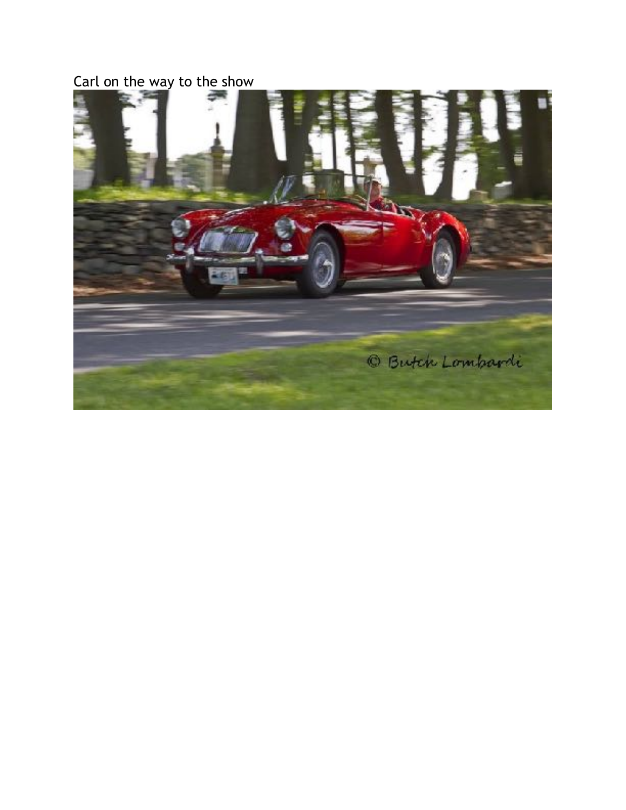## Carl on the way to the show